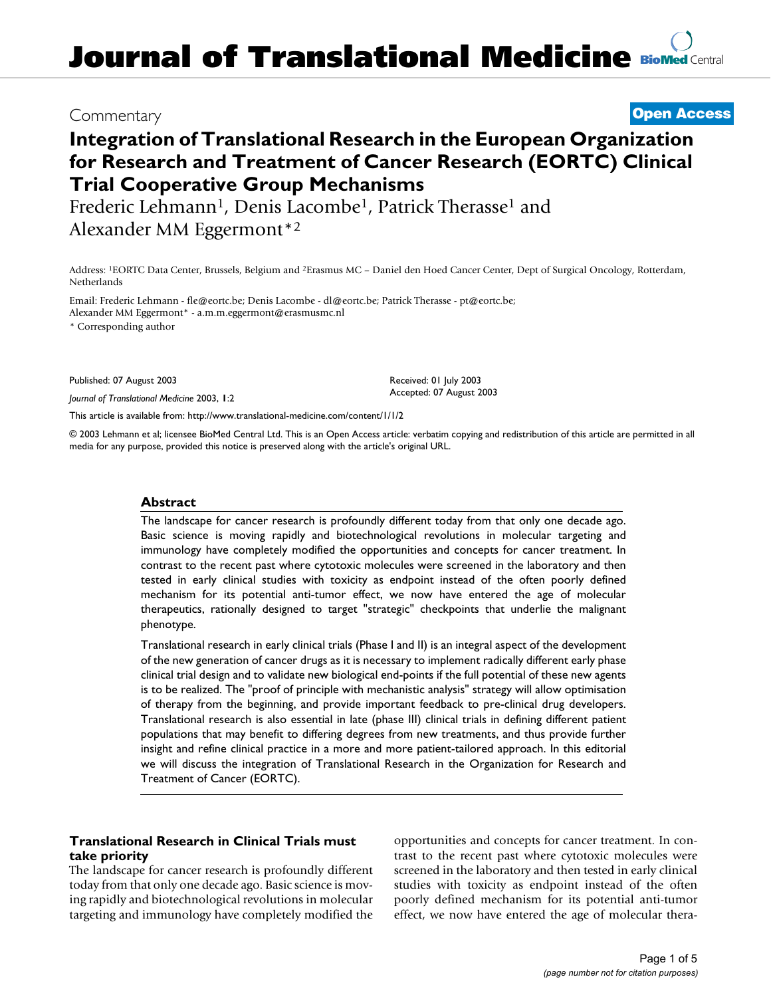# **Journal of Translational Medicine [BioMed](http://www.biomedcentral.com/) Central**

### Commentary **[Open Access](http://www.biomedcentral.com/info/about/charter/)**

## **Integration of Translational Research in the European Organization for Research and Treatment of Cancer Research (EORTC) Clinical Trial Cooperative Group Mechanisms**

Frederic Lehmann<sup>1</sup>, Denis Lacombe<sup>1</sup>, Patrick Therasse<sup>1</sup> and Alexander MM Eggermont\*2

Address: 1EORTC Data Center, Brussels, Belgium and 2Erasmus MC – Daniel den Hoed Cancer Center, Dept of Surgical Oncology, Rotterdam, Netherlands

Email: Frederic Lehmann - fle@eortc.be; Denis Lacombe - dl@eortc.be; Patrick Therasse - pt@eortc.be; Alexander MM Eggermont\* - a.m.m.eggermont@erasmusmc.nl

\* Corresponding author

Published: 07 August 2003

*Journal of Translational Medicine* 2003, **1**:2

[This article is available from: http://www.translational-medicine.com/content/1/1/2](http://www.translational-medicine.com/content/1/1/2)

© 2003 Lehmann et al; licensee BioMed Central Ltd. This is an Open Access article: verbatim copying and redistribution of this article are permitted in all media for any purpose, provided this notice is preserved along with the article's original URL.

Received: 01 July 2003 Accepted: 07 August 2003

#### **Abstract**

The landscape for cancer research is profoundly different today from that only one decade ago. Basic science is moving rapidly and biotechnological revolutions in molecular targeting and immunology have completely modified the opportunities and concepts for cancer treatment. In contrast to the recent past where cytotoxic molecules were screened in the laboratory and then tested in early clinical studies with toxicity as endpoint instead of the often poorly defined mechanism for its potential anti-tumor effect, we now have entered the age of molecular therapeutics, rationally designed to target "strategic" checkpoints that underlie the malignant phenotype.

Translational research in early clinical trials (Phase I and II) is an integral aspect of the development of the new generation of cancer drugs as it is necessary to implement radically different early phase clinical trial design and to validate new biological end-points if the full potential of these new agents is to be realized. The "proof of principle with mechanistic analysis" strategy will allow optimisation of therapy from the beginning, and provide important feedback to pre-clinical drug developers. Translational research is also essential in late (phase III) clinical trials in defining different patient populations that may benefit to differing degrees from new treatments, and thus provide further insight and refine clinical practice in a more and more patient-tailored approach. In this editorial we will discuss the integration of Translational Research in the Organization for Research and Treatment of Cancer (EORTC).

#### **Translational Research in Clinical Trials must take priority**

The landscape for cancer research is profoundly different today from that only one decade ago. Basic science is moving rapidly and biotechnological revolutions in molecular targeting and immunology have completely modified the opportunities and concepts for cancer treatment. In contrast to the recent past where cytotoxic molecules were screened in the laboratory and then tested in early clinical studies with toxicity as endpoint instead of the often poorly defined mechanism for its potential anti-tumor effect, we now have entered the age of molecular thera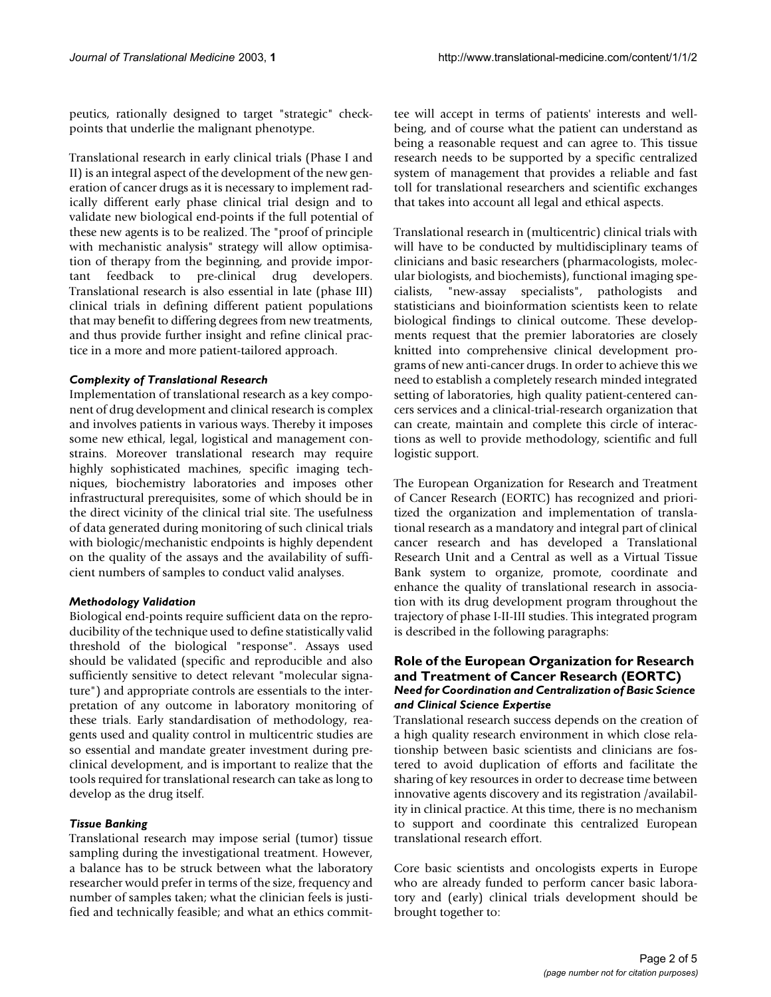peutics, rationally designed to target "strategic" checkpoints that underlie the malignant phenotype.

Translational research in early clinical trials (Phase I and II) is an integral aspect of the development of the new generation of cancer drugs as it is necessary to implement radically different early phase clinical trial design and to validate new biological end-points if the full potential of these new agents is to be realized. The "proof of principle with mechanistic analysis" strategy will allow optimisation of therapy from the beginning, and provide important feedback to pre-clinical drug developers. Translational research is also essential in late (phase III) clinical trials in defining different patient populations that may benefit to differing degrees from new treatments, and thus provide further insight and refine clinical practice in a more and more patient-tailored approach.

#### *Complexity of Translational Research*

Implementation of translational research as a key component of drug development and clinical research is complex and involves patients in various ways. Thereby it imposes some new ethical, legal, logistical and management constrains. Moreover translational research may require highly sophisticated machines, specific imaging techniques, biochemistry laboratories and imposes other infrastructural prerequisites, some of which should be in the direct vicinity of the clinical trial site. The usefulness of data generated during monitoring of such clinical trials with biologic/mechanistic endpoints is highly dependent on the quality of the assays and the availability of sufficient numbers of samples to conduct valid analyses.

#### *Methodology Validation*

Biological end-points require sufficient data on the reproducibility of the technique used to define statistically valid threshold of the biological "response". Assays used should be validated (specific and reproducible and also sufficiently sensitive to detect relevant "molecular signature") and appropriate controls are essentials to the interpretation of any outcome in laboratory monitoring of these trials. Early standardisation of methodology, reagents used and quality control in multicentric studies are so essential and mandate greater investment during preclinical development, and is important to realize that the tools required for translational research can take as long to develop as the drug itself.

#### *Tissue Banking*

Translational research may impose serial (tumor) tissue sampling during the investigational treatment. However, a balance has to be struck between what the laboratory researcher would prefer in terms of the size, frequency and number of samples taken; what the clinician feels is justified and technically feasible; and what an ethics committee will accept in terms of patients' interests and wellbeing, and of course what the patient can understand as being a reasonable request and can agree to. This tissue research needs to be supported by a specific centralized system of management that provides a reliable and fast toll for translational researchers and scientific exchanges that takes into account all legal and ethical aspects.

Translational research in (multicentric) clinical trials with will have to be conducted by multidisciplinary teams of clinicians and basic researchers (pharmacologists, molecular biologists, and biochemists), functional imaging specialists, "new-assay specialists", pathologists and statisticians and bioinformation scientists keen to relate biological findings to clinical outcome. These developments request that the premier laboratories are closely knitted into comprehensive clinical development programs of new anti-cancer drugs. In order to achieve this we need to establish a completely research minded integrated setting of laboratories, high quality patient-centered cancers services and a clinical-trial-research organization that can create, maintain and complete this circle of interactions as well to provide methodology, scientific and full logistic support.

The European Organization for Research and Treatment of Cancer Research (EORTC) has recognized and prioritized the organization and implementation of translational research as a mandatory and integral part of clinical cancer research and has developed a Translational Research Unit and a Central as well as a Virtual Tissue Bank system to organize, promote, coordinate and enhance the quality of translational research in association with its drug development program throughout the trajectory of phase I-II-III studies. This integrated program is described in the following paragraphs:

#### **Role of the European Organization for Research and Treatment of Cancer Research (EORTC)** *Need for Coordination and Centralization of Basic Science and Clinical Science Expertise*

Translational research success depends on the creation of a high quality research environment in which close relationship between basic scientists and clinicians are fostered to avoid duplication of efforts and facilitate the sharing of key resources in order to decrease time between innovative agents discovery and its registration /availability in clinical practice. At this time, there is no mechanism to support and coordinate this centralized European translational research effort.

Core basic scientists and oncologists experts in Europe who are already funded to perform cancer basic laboratory and (early) clinical trials development should be brought together to: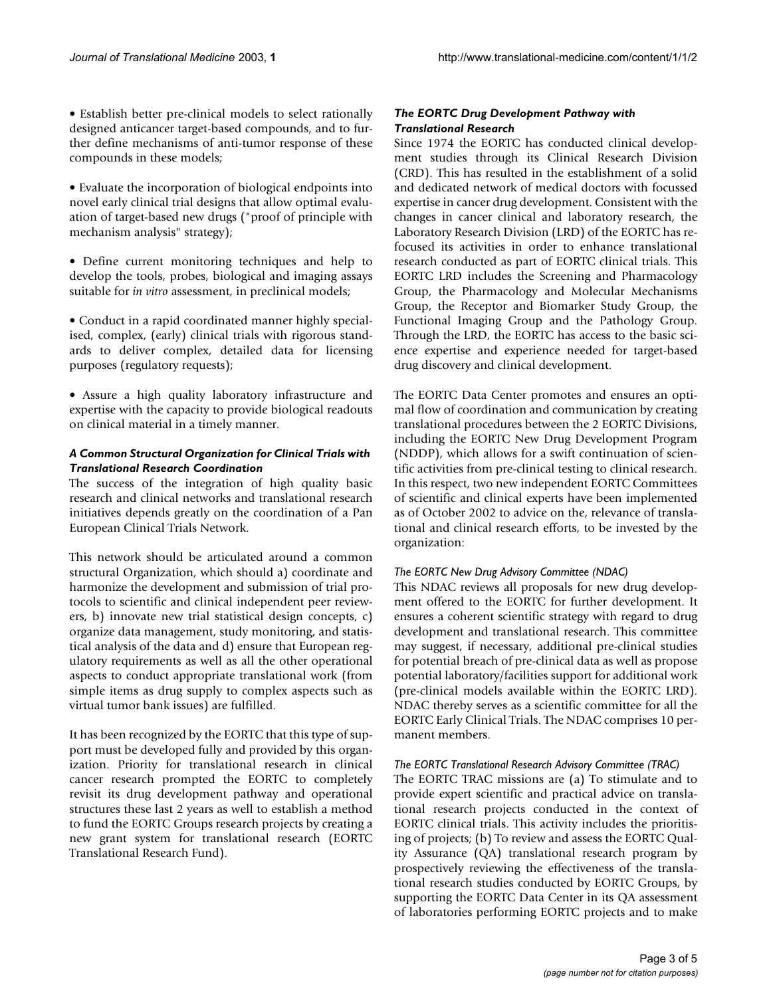• Establish better pre-clinical models to select rationally designed anticancer target-based compounds, and to further define mechanisms of anti-tumor response of these compounds in these models;

• Evaluate the incorporation of biological endpoints into novel early clinical trial designs that allow optimal evaluation of target-based new drugs ("proof of principle with mechanism analysis" strategy);

- Define current monitoring techniques and help to develop the tools, probes, biological and imaging assays suitable for *in vitro* assessment, in preclinical models;
- Conduct in a rapid coordinated manner highly specialised, complex, (early) clinical trials with rigorous standards to deliver complex, detailed data for licensing purposes (regulatory requests);

• Assure a high quality laboratory infrastructure and expertise with the capacity to provide biological readouts on clinical material in a timely manner.

#### *A Common Structural Organization for Clinical Trials with Translational Research Coordination*

The success of the integration of high quality basic research and clinical networks and translational research initiatives depends greatly on the coordination of a Pan European Clinical Trials Network.

This network should be articulated around a common structural Organization, which should a) coordinate and harmonize the development and submission of trial protocols to scientific and clinical independent peer reviewers, b) innovate new trial statistical design concepts, c) organize data management, study monitoring, and statistical analysis of the data and d) ensure that European regulatory requirements as well as all the other operational aspects to conduct appropriate translational work (from simple items as drug supply to complex aspects such as virtual tumor bank issues) are fulfilled.

It has been recognized by the EORTC that this type of support must be developed fully and provided by this organization. Priority for translational research in clinical cancer research prompted the EORTC to completely revisit its drug development pathway and operational structures these last 2 years as well to establish a method to fund the EORTC Groups research projects by creating a new grant system for translational research (EORTC Translational Research Fund).

#### *The EORTC Drug Development Pathway with Translational Research*

Since 1974 the EORTC has conducted clinical development studies through its Clinical Research Division (CRD). This has resulted in the establishment of a solid and dedicated network of medical doctors with focussed expertise in cancer drug development. Consistent with the changes in cancer clinical and laboratory research, the Laboratory Research Division (LRD) of the EORTC has refocused its activities in order to enhance translational research conducted as part of EORTC clinical trials. This EORTC LRD includes the Screening and Pharmacology Group, the Pharmacology and Molecular Mechanisms Group, the Receptor and Biomarker Study Group, the Functional Imaging Group and the Pathology Group. Through the LRD, the EORTC has access to the basic science expertise and experience needed for target-based drug discovery and clinical development.

The EORTC Data Center promotes and ensures an optimal flow of coordination and communication by creating translational procedures between the 2 EORTC Divisions, including the EORTC New Drug Development Program (NDDP), which allows for a swift continuation of scientific activities from pre-clinical testing to clinical research. In this respect, two new independent EORTC Committees of scientific and clinical experts have been implemented as of October 2002 to advice on the, relevance of translational and clinical research efforts, to be invested by the organization:

#### *The EORTC New Drug Advisory Committee (NDAC)*

This NDAC reviews all proposals for new drug development offered to the EORTC for further development. It ensures a coherent scientific strategy with regard to drug development and translational research. This committee may suggest, if necessary, additional pre-clinical studies for potential breach of pre-clinical data as well as propose potential laboratory/facilities support for additional work (pre-clinical models available within the EORTC LRD). NDAC thereby serves as a scientific committee for all the EORTC Early Clinical Trials. The NDAC comprises 10 permanent members.

#### *The EORTC Translational Research Advisory Committee (TRAC)*

The EORTC TRAC missions are (a) To stimulate and to provide expert scientific and practical advice on translational research projects conducted in the context of EORTC clinical trials. This activity includes the prioritising of projects; (b) To review and assess the EORTC Quality Assurance (QA) translational research program by prospectively reviewing the effectiveness of the translational research studies conducted by EORTC Groups, by supporting the EORTC Data Center in its QA assessment of laboratories performing EORTC projects and to make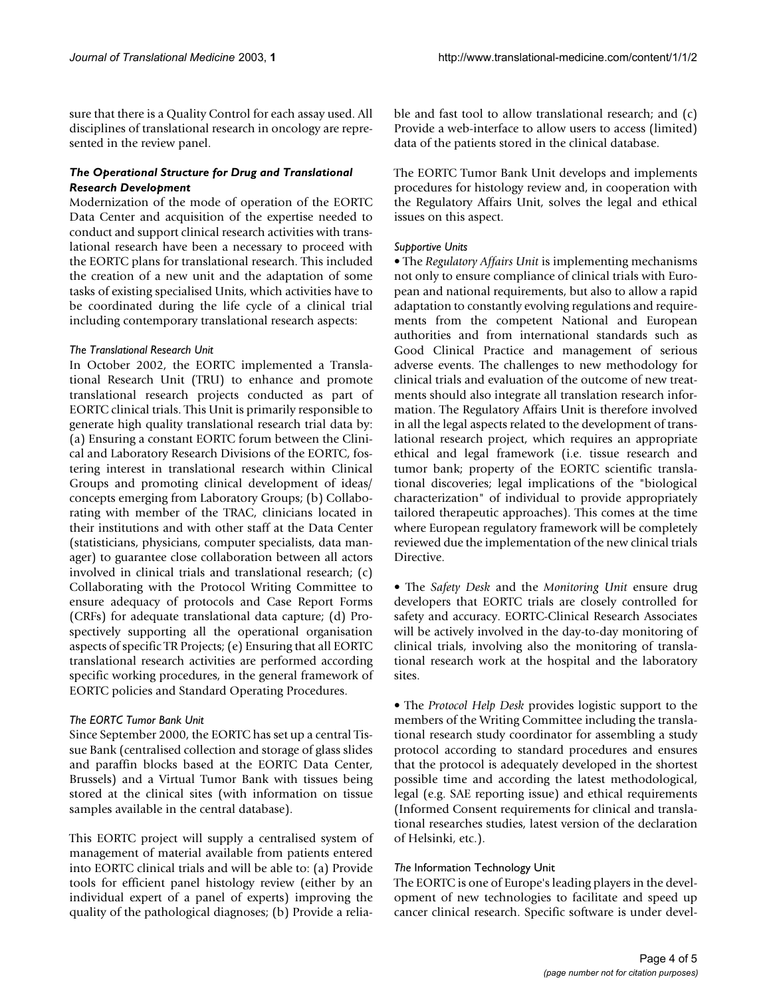sure that there is a Quality Control for each assay used. All disciplines of translational research in oncology are represented in the review panel.

#### *The Operational Structure for Drug and Translational Research Development*

Modernization of the mode of operation of the EORTC Data Center and acquisition of the expertise needed to conduct and support clinical research activities with translational research have been a necessary to proceed with the EORTC plans for translational research. This included the creation of a new unit and the adaptation of some tasks of existing specialised Units, which activities have to be coordinated during the life cycle of a clinical trial including contemporary translational research aspects:

#### *The Translational Research Unit*

In October 2002, the EORTC implemented a Translational Research Unit (TRU) to enhance and promote translational research projects conducted as part of EORTC clinical trials. This Unit is primarily responsible to generate high quality translational research trial data by: (a) Ensuring a constant EORTC forum between the Clinical and Laboratory Research Divisions of the EORTC, fostering interest in translational research within Clinical Groups and promoting clinical development of ideas/ concepts emerging from Laboratory Groups; (b) Collaborating with member of the TRAC, clinicians located in their institutions and with other staff at the Data Center (statisticians, physicians, computer specialists, data manager) to guarantee close collaboration between all actors involved in clinical trials and translational research; (c) Collaborating with the Protocol Writing Committee to ensure adequacy of protocols and Case Report Forms (CRFs) for adequate translational data capture; (d) Prospectively supporting all the operational organisation aspects of specific TR Projects; (e) Ensuring that all EORTC translational research activities are performed according specific working procedures, in the general framework of EORTC policies and Standard Operating Procedures.

#### *The EORTC Tumor Bank Unit*

Since September 2000, the EORTC has set up a central Tissue Bank (centralised collection and storage of glass slides and paraffin blocks based at the EORTC Data Center, Brussels) and a Virtual Tumor Bank with tissues being stored at the clinical sites (with information on tissue samples available in the central database).

This EORTC project will supply a centralised system of management of material available from patients entered into EORTC clinical trials and will be able to: (a) Provide tools for efficient panel histology review (either by an individual expert of a panel of experts) improving the quality of the pathological diagnoses; (b) Provide a reliable and fast tool to allow translational research; and (c) Provide a web-interface to allow users to access (limited) data of the patients stored in the clinical database.

The EORTC Tumor Bank Unit develops and implements procedures for histology review and, in cooperation with the Regulatory Affairs Unit, solves the legal and ethical issues on this aspect.

#### *Supportive Units*

• The *Regulatory Affairs Unit* is implementing mechanisms not only to ensure compliance of clinical trials with European and national requirements, but also to allow a rapid adaptation to constantly evolving regulations and requirements from the competent National and European authorities and from international standards such as Good Clinical Practice and management of serious adverse events. The challenges to new methodology for clinical trials and evaluation of the outcome of new treatments should also integrate all translation research information. The Regulatory Affairs Unit is therefore involved in all the legal aspects related to the development of translational research project, which requires an appropriate ethical and legal framework (i.e. tissue research and tumor bank; property of the EORTC scientific translational discoveries; legal implications of the "biological characterization" of individual to provide appropriately tailored therapeutic approaches). This comes at the time where European regulatory framework will be completely reviewed due the implementation of the new clinical trials Directive.

• The *Safety Desk* and the *Monitoring Unit* ensure drug developers that EORTC trials are closely controlled for safety and accuracy. EORTC-Clinical Research Associates will be actively involved in the day-to-day monitoring of clinical trials, involving also the monitoring of translational research work at the hospital and the laboratory sites.

• The *Protocol Help Desk* provides logistic support to the members of the Writing Committee including the translational research study coordinator for assembling a study protocol according to standard procedures and ensures that the protocol is adequately developed in the shortest possible time and according the latest methodological, legal (e.g. SAE reporting issue) and ethical requirements (Informed Consent requirements for clinical and translational researches studies, latest version of the declaration of Helsinki, etc.).

#### **The Information Technology Unit**

The EORTC is one of Europe's leading players in the development of new technologies to facilitate and speed up cancer clinical research. Specific software is under devel